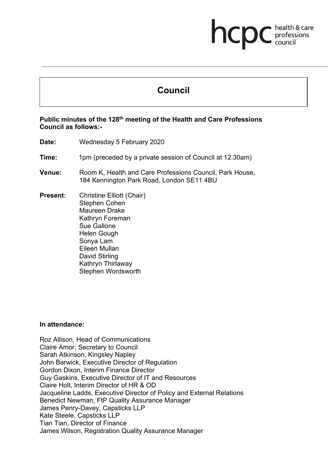# **Council**

hcpc

health & care professions<br>council

### **Public minutes of the 128th meeting of the Health and Care Professions Council as follows:-**

- **Date:** Wednesday 5 February 2020
- **Time:** 1pm (preceded by a private session of Council at 12.30am)
- **Venue:** Room K, Health and Care Professions Council, Park House, 184 Kennington Park Road, London SE11 4BU
- **Present:** Christine Elliott (Chair) Stephen Cohen Maureen Drake Kathryn Foreman Sue Gallone Helen Gough Sonya Lam Eileen Mullan David Stirling Kathryn Thirlaway Stephen Wordsworth

### **In attendance:**

Roz Allison, Head of Communications Claire Amor, Secretary to Council Sarah Atkinson, Kingsley Napley John Barwick, Executive Director of Regulation Gordon Dixon, Interim Finance Director Guy Gaskins, Executive Director of IT and Resources Claire Holt, Interim Director of HR & OD Jacqueline Ladds, Executive Director of Policy and External Relations Benedict Newman, FtP Quality Assurance Manager James Penry-Davey, Capsticks LLP Kate Steele, Capsticks LLP Tian Tian, Director of Finance James Wilson, Registration Quality Assurance Manager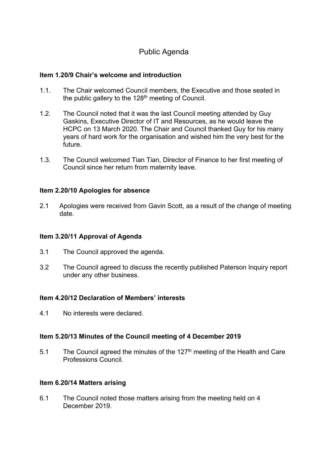# Public Agenda

### **Item 1.20/9 Chair's welcome and introduction**

- 1.1. The Chair welcomed Council members, the Executive and those seated in the public gallery to the  $128<sup>th</sup>$  meeting of Council.
- 1.2. The Council noted that it was the last Council meeting attended by Guy Gaskins, Executive Director of IT and Resources, as he would leave the HCPC on 13 March 2020. The Chair and Council thanked Guy for his many years of hard work for the organisation and wished him the very best for the future.
- 1.3. The Council welcomed Tian Tian, Director of Finance to her first meeting of Council since her return from maternity leave.

### **Item 2.20/10 Apologies for absence**

2.1 Apologies were received from Gavin Scott, as a result of the change of meeting date.

### **Item 3.20/11 Approval of Agenda**

- 3.1 The Council approved the agenda.
- 3.2 The Council agreed to discuss the recently published Paterson Inquiry report under any other business.

### **Item 4.20/12 Declaration of Members' interests**

4.1 No interests were declared.

### **Item 5.20/13 Minutes of the Council meeting of 4 December 2019**

5.1 The Council agreed the minutes of the  $127<sup>th</sup>$  meeting of the Health and Care Professions Council.

### **Item 6.20/14 Matters arising**

6.1 The Council noted those matters arising from the meeting held on 4 December 2019.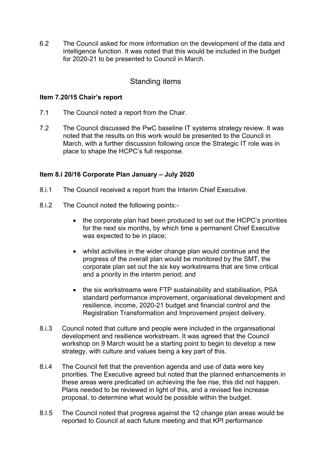6.2 The Council asked for more information on the development of the data and intelligence function. It was noted that this would be included in the budget for 2020-21 to be presented to Council in March.

# Standing items

### **Item 7.20/15 Chair's report**

- 7.1 The Council noted a report from the Chair.
- 7.2 The Council discussed the PwC baseline IT systems strategy review. It was noted that the results on this work would be presented to the Council in March, with a further discussion following once the Strategic IT role was in place to shape the HCPC's full response.

# **Item 8.i 20/16 Corporate Plan January – July 2020**

- 8.i.1 The Council received a report from the Interim Chief Executive.
- 8.i.2 The Council noted the following points:-
	- the corporate plan had been produced to set out the HCPC's priorities for the next six months, by which time a permanent Chief Executive was expected to be in place;
	- whilst activities in the wider change plan would continue and the progress of the overall plan would be monitored by the SMT, the corporate plan set out the six key workstreams that are time critical and a priority in the interim period; and
	- the six workstreams were FTP sustainability and stabilisation, PSA standard performance improvement, organisational development and resilience, income, 2020-21 budget and financial control and the Registration Transformation and Improvement project delivery.
- 8.i.3 Council noted that culture and people were included in the organisational development and resilience workstream. It was agreed that the Council workshop on 9 March would be a starting point to begin to develop a new strategy, with culture and values being a key part of this.
- 8.i.4 The Council felt that the prevention agenda and use of data were key priorities. The Executive agreed but noted that the planned enhancements in these areas were predicated on achieving the fee rise, this did not happen. Plans needed to be reviewed in light of this, and a revised fee increase proposal, to determine what would be possible within the budget.
- 8.I.5 The Council noted that progress against the 12 change plan areas would be reported to Council at each future meeting and that KPI performance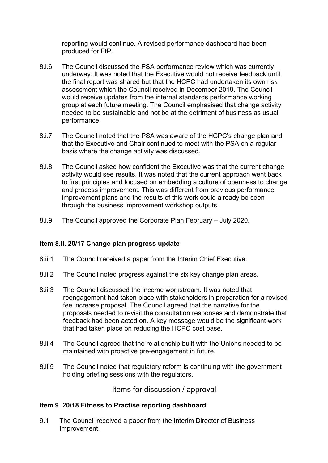reporting would continue. A revised performance dashboard had been produced for FtP.

- 8.i.6 The Council discussed the PSA performance review which was currently underway. It was noted that the Executive would not receive feedback until the final report was shared but that the HCPC had undertaken its own risk assessment which the Council received in December 2019. The Council would receive updates from the internal standards performance working group at each future meeting. The Council emphasised that change activity needed to be sustainable and not be at the detriment of business as usual performance.
- 8.i.7 The Council noted that the PSA was aware of the HCPC's change plan and that the Executive and Chair continued to meet with the PSA on a regular basis where the change activity was discussed.
- 8.i.8 The Council asked how confident the Executive was that the current change activity would see results. It was noted that the current approach went back to first principles and focused on embedding a culture of openness to change and process improvement. This was different from previous performance improvement plans and the results of this work could already be seen through the business improvement workshop outputs.
- 8.i.9 The Council approved the Corporate Plan February July 2020.

# **Item 8.ii. 20/17 Change plan progress update**

- 8.ii.1 The Council received a paper from the Interim Chief Executive.
- 8.ii.2 The Council noted progress against the six key change plan areas.
- 8.ii.3 The Council discussed the income workstream. It was noted that reengagement had taken place with stakeholders in preparation for a revised fee increase proposal. The Council agreed that the narrative for the proposals needed to revisit the consultation responses and demonstrate that feedback had been acted on. A key message would be the significant work that had taken place on reducing the HCPC cost base.
- 8.ii.4 The Council agreed that the relationship built with the Unions needed to be maintained with proactive pre-engagement in future.
- 8.ii.5 The Council noted that regulatory reform is continuing with the government holding briefing sessions with the regulators.

Items for discussion / approval

### **Item 9. 20/18 Fitness to Practise reporting dashboard**

9.1 The Council received a paper from the Interim Director of Business Improvement.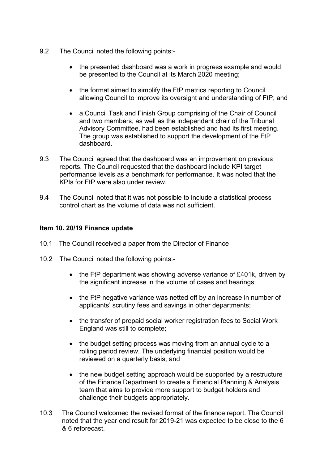- 9.2 The Council noted the following points:-
	- the presented dashboard was a work in progress example and would be presented to the Council at its March 2020 meeting;
	- the format aimed to simplify the FtP metrics reporting to Council allowing Council to improve its oversight and understanding of FtP; and
	- a Council Task and Finish Group comprising of the Chair of Council and two members, as well as the independent chair of the Tribunal Advisory Committee, had been established and had its first meeting. The group was established to support the development of the FtP dashboard.
- 9.3 The Council agreed that the dashboard was an improvement on previous reports. The Council requested that the dashboard include KPI target performance levels as a benchmark for performance. It was noted that the KPIs for FtP were also under review.
- 9.4 The Council noted that it was not possible to include a statistical process control chart as the volume of data was not sufficient.

### **Item 10. 20/19 Finance update**

- 10.1 The Council received a paper from the Director of Finance
- 10.2 The Council noted the following points:-
	- the FtP department was showing adverse variance of £401k, driven by the significant increase in the volume of cases and hearings;
	- the FtP negative variance was netted off by an increase in number of applicants' scrutiny fees and savings in other departments;
	- the transfer of prepaid social worker registration fees to Social Work England was still to complete;
	- the budget setting process was moving from an annual cycle to a rolling period review. The underlying financial position would be reviewed on a quarterly basis; and
	- the new budget setting approach would be supported by a restructure of the Finance Department to create a Financial Planning & Analysis team that aims to provide more support to budget holders and challenge their budgets appropriately.
- 10.3 The Council welcomed the revised format of the finance report. The Council noted that the year end result for 2019-21 was expected to be close to the 6 & 6 reforecast.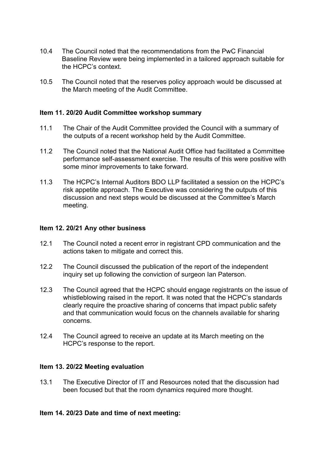- 10.4 The Council noted that the recommendations from the PwC Financial Baseline Review were being implemented in a tailored approach suitable for the HCPC's context.
- 10.5 The Council noted that the reserves policy approach would be discussed at the March meeting of the Audit Committee.

### **Item 11. 20/20 Audit Committee workshop summary**

- 11.1 The Chair of the Audit Committee provided the Council with a summary of the outputs of a recent workshop held by the Audit Committee.
- 11.2 The Council noted that the National Audit Office had facilitated a Committee performance self-assessment exercise. The results of this were positive with some minor improvements to take forward.
- 11.3 The HCPC's Internal Auditors BDO LLP facilitated a session on the HCPC's risk appetite approach. The Executive was considering the outputs of this discussion and next steps would be discussed at the Committee's March meeting.

### **Item 12. 20/21 Any other business**

- 12.1 The Council noted a recent error in registrant CPD communication and the actions taken to mitigate and correct this.
- 12.2 The Council discussed the publication of the report of the independent inquiry set up following the conviction of surgeon Ian Paterson.
- 12.3 The Council agreed that the HCPC should engage registrants on the issue of whistleblowing raised in the report. It was noted that the HCPC's standards clearly require the proactive sharing of concerns that impact public safety and that communication would focus on the channels available for sharing concerns.
- 12.4 The Council agreed to receive an update at its March meeting on the HCPC's response to the report.

### **Item 13. 20/22 Meeting evaluation**

13.1 The Executive Director of IT and Resources noted that the discussion had been focused but that the room dynamics required more thought.

### **Item 14. 20/23 Date and time of next meeting:**